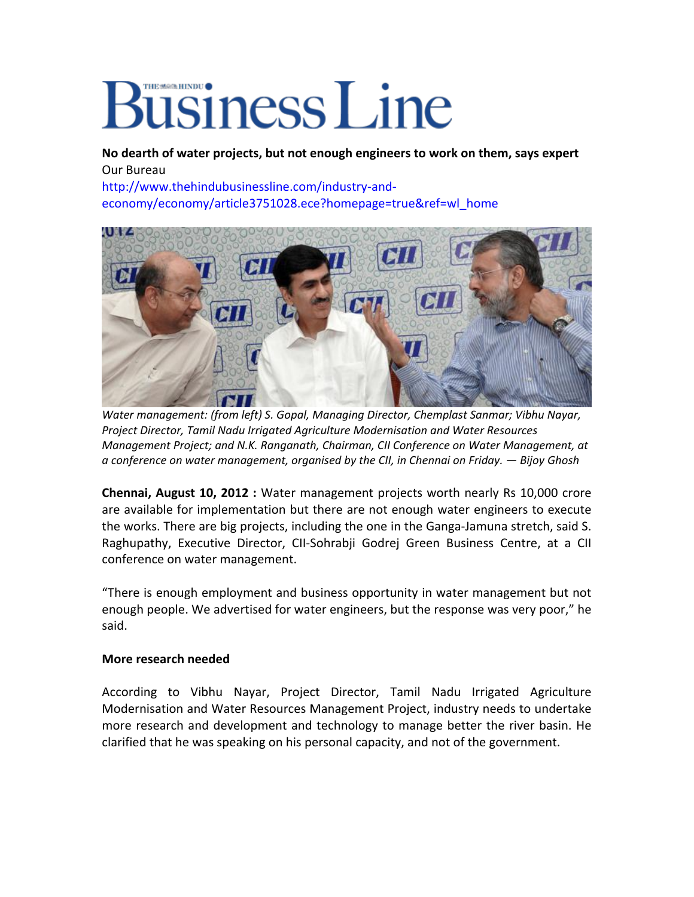## Business Line

**No dearth of water projects, but not enough engineers to work on them, says expert** Our Bureau

[http://www.thehindubusinessline.com/industry](http://www.thehindubusinessline.com/industry-and-economy/economy/article3751028.ece?homepage=true&ref=wl_home)‐and‐ [economy/economy/article3751028.ece?homepage=true&ref=wl\\_home](http://www.thehindubusinessline.com/industry-and-economy/economy/article3751028.ece?homepage=true&ref=wl_home)



*Water management: (from left) S. Gopal, Managing Director, Chemplast Sanmar; Vibhu Nayar, Project Director, Tamil Nadu Irrigated Agriculture Modernisation and Water Resources Management Project; and N.K. Ranganath, Chairman, CII Conference on Water Management, at a conference on water management, organised by the CII, in Chennai on Friday. — Bijoy Ghosh*

**Chennai, August 10, 2012 :** Water management projects worth nearly Rs 10,000 crore are available for implementation but there are not enough water engineers to execute the works. There are big projects, including the one in the Ganga‐Jamuna stretch, said S. Raghupathy, Executive Director, CII‐Sohrabji Godrej Green Business Centre, at a CII conference on water management.

"There is enough employment and business opportunity in water management but not enough people. We advertised for water engineers, but the response was very poor," he said.

## **More research needed**

According to Vibhu Nayar, Project Director, Tamil Nadu Irrigated Agriculture Modernisation and Water Resources Management Project, industry needs to undertake more research and development and technology to manage better the river basin. He clarified that he was speaking on his personal capacity, and not of the government.